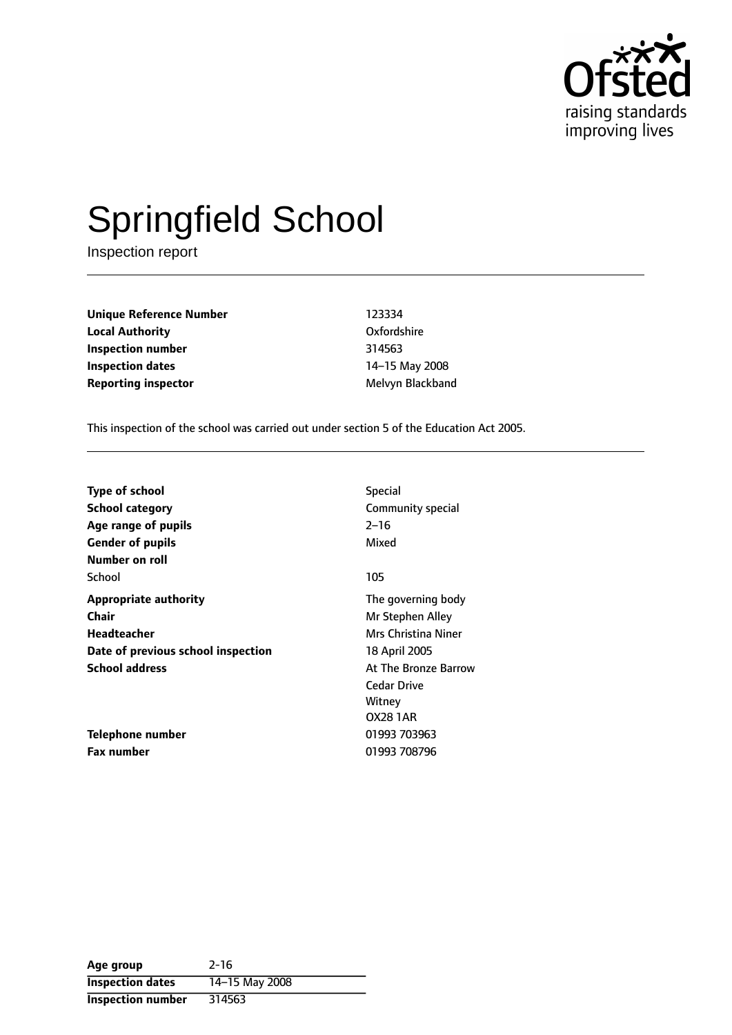

# Springfield School

Inspection report

**Unique Reference Number** 123334 **Local Authority** Oxfordshire **Inspection number** 314563 **Inspection dates** 14-15 May 2008 **Reporting inspector** Melvyn Blackband

This inspection of the school was carried out under section 5 of the Education Act 2005.

| <b>Type of school</b>              | <b>Special</b>       |
|------------------------------------|----------------------|
| <b>School category</b>             | Community special    |
| Age range of pupils                | $2 - 16$             |
| <b>Gender of pupils</b>            | Mixed                |
| Number on roll                     |                      |
| School                             | 105                  |
| <b>Appropriate authority</b>       | The governing body   |
| <b>Chair</b>                       | Mr Stephen Alley     |
| Headteacher                        | Mrs Christina Niner  |
| Date of previous school inspection | 18 April 2005        |
| <b>School address</b>              | At The Bronze Barrow |
|                                    | <b>Cedar Drive</b>   |
|                                    | Witney               |
|                                    | <b>OX28 1AR</b>      |
| Telephone number                   | 01993 703963         |
| Fax number                         | 01993 708796         |

| Age group                | $2 - 16$       |
|--------------------------|----------------|
| <b>Inspection dates</b>  | 14-15 May 2008 |
| <b>Inspection number</b> | 314563         |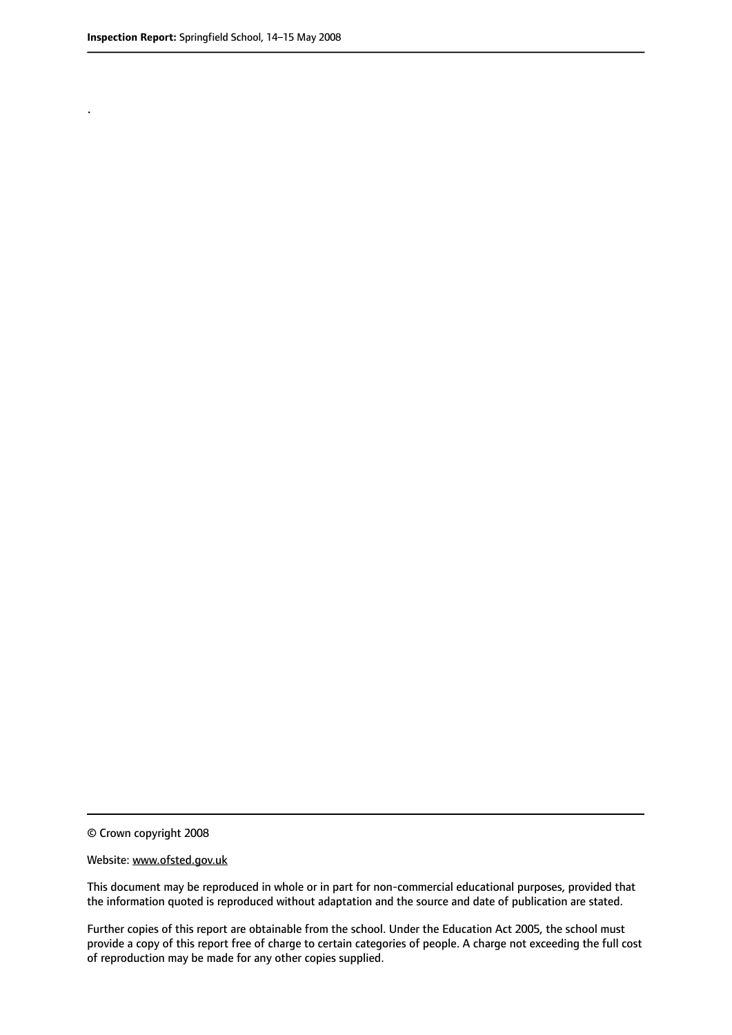.

© Crown copyright 2008

#### Website: www.ofsted.gov.uk

This document may be reproduced in whole or in part for non-commercial educational purposes, provided that the information quoted is reproduced without adaptation and the source and date of publication are stated.

Further copies of this report are obtainable from the school. Under the Education Act 2005, the school must provide a copy of this report free of charge to certain categories of people. A charge not exceeding the full cost of reproduction may be made for any other copies supplied.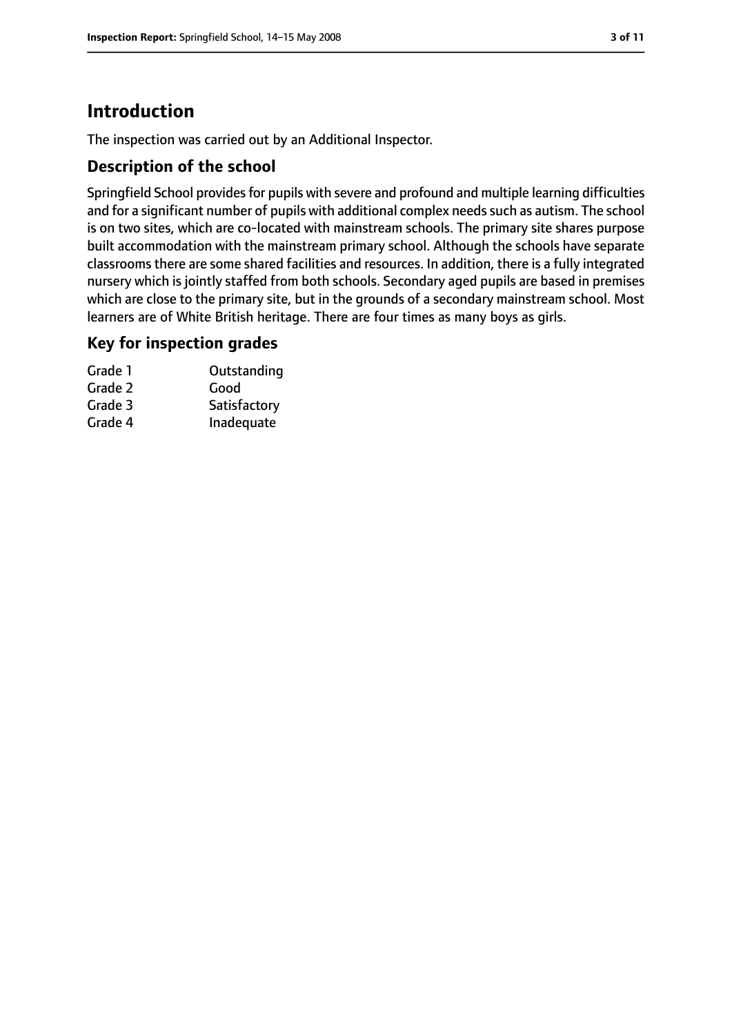# **Introduction**

The inspection was carried out by an Additional Inspector.

## **Description of the school**

Springfield School provides for pupils with severe and profound and multiple learning difficulties and for a significant number of pupils with additional complex needs such as autism. The school is on two sites, which are co-located with mainstream schools. The primary site shares purpose built accommodation with the mainstream primary school. Although the schools have separate classrooms there are some shared facilities and resources. In addition, there is a fully integrated nursery which is jointly staffed from both schools. Secondary aged pupils are based in premises which are close to the primary site, but in the grounds of a secondary mainstream school. Most learners are of White British heritage. There are four times as many boys as girls.

#### **Key for inspection grades**

| Grade 1 | Outstanding  |
|---------|--------------|
| Grade 2 | Good         |
| Grade 3 | Satisfactory |
| Grade 4 | Inadequate   |
|         |              |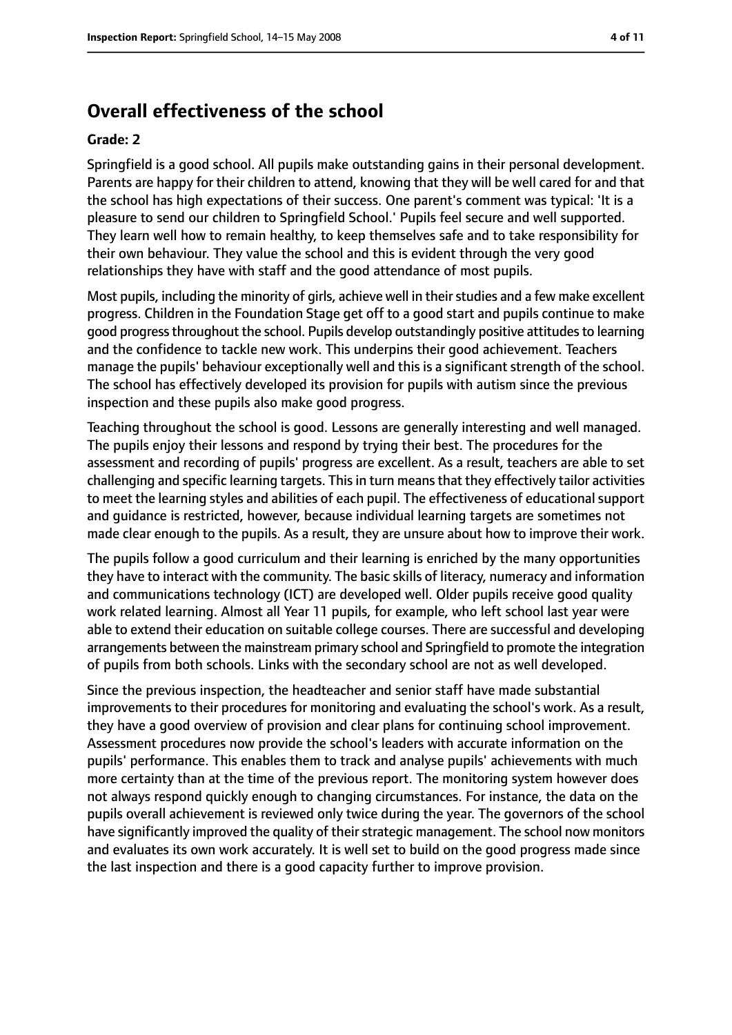# **Overall effectiveness of the school**

#### **Grade: 2**

Springfield is a good school. All pupils make outstanding gains in their personal development. Parents are happy for their children to attend, knowing that they will be well cared for and that the school has high expectations of their success. One parent's comment was typical: 'It is a pleasure to send our children to Springfield School.' Pupils feel secure and well supported. They learn well how to remain healthy, to keep themselves safe and to take responsibility for their own behaviour. They value the school and this is evident through the very good relationships they have with staff and the good attendance of most pupils.

Most pupils, including the minority of girls, achieve well in their studies and a few make excellent progress. Children in the Foundation Stage get off to a good start and pupils continue to make good progress throughout the school. Pupils develop outstandingly positive attitudes to learning and the confidence to tackle new work. This underpins their good achievement. Teachers manage the pupils' behaviour exceptionally well and this is a significant strength of the school. The school has effectively developed its provision for pupils with autism since the previous inspection and these pupils also make good progress.

Teaching throughout the school is good. Lessons are generally interesting and well managed. The pupils enjoy their lessons and respond by trying their best. The procedures for the assessment and recording of pupils' progress are excellent. As a result, teachers are able to set challenging and specific learning targets. This in turn means that they effectively tailor activities to meet the learning styles and abilities of each pupil. The effectiveness of educational support and guidance is restricted, however, because individual learning targets are sometimes not made clear enough to the pupils. As a result, they are unsure about how to improve their work.

The pupils follow a good curriculum and their learning is enriched by the many opportunities they have to interact with the community. The basic skills of literacy, numeracy and information and communications technology (ICT) are developed well. Older pupils receive good quality work related learning. Almost all Year 11 pupils, for example, who left school last year were able to extend their education on suitable college courses. There are successful and developing arrangements between the mainstream primary school and Springfield to promote the integration of pupils from both schools. Links with the secondary school are not as well developed.

Since the previous inspection, the headteacher and senior staff have made substantial improvements to their procedures for monitoring and evaluating the school's work. As a result, they have a good overview of provision and clear plans for continuing school improvement. Assessment procedures now provide the school's leaders with accurate information on the pupils' performance. This enables them to track and analyse pupils' achievements with much more certainty than at the time of the previous report. The monitoring system however does not always respond quickly enough to changing circumstances. For instance, the data on the pupils overall achievement is reviewed only twice during the year. The governors of the school have significantly improved the quality of their strategic management. The school now monitors and evaluates its own work accurately. It is well set to build on the good progress made since the last inspection and there is a good capacity further to improve provision.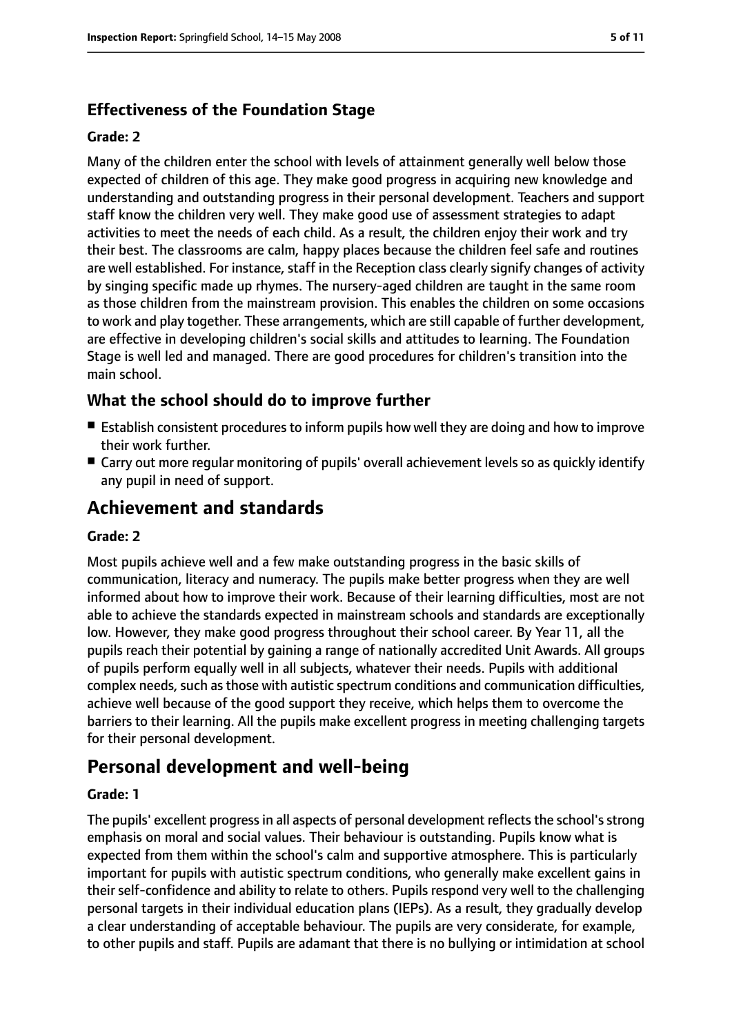## **Effectiveness of the Foundation Stage**

#### **Grade: 2**

Many of the children enter the school with levels of attainment generally well below those expected of children of this age. They make good progress in acquiring new knowledge and understanding and outstanding progress in their personal development. Teachers and support staff know the children very well. They make good use of assessment strategies to adapt activities to meet the needs of each child. As a result, the children enjoy their work and try their best. The classrooms are calm, happy places because the children feel safe and routines are well established. For instance, staff in the Reception class clearly signify changes of activity by singing specific made up rhymes. The nursery-aged children are taught in the same room as those children from the mainstream provision. This enables the children on some occasions to work and play together. These arrangements, which are still capable of further development, are effective in developing children's social skills and attitudes to learning. The Foundation Stage is well led and managed. There are good procedures for children's transition into the main school.

#### **What the school should do to improve further**

- Establish consistent procedures to inform pupils how well they are doing and how to improve their work further.
- Carry out more regular monitoring of pupils' overall achievement levels so as quickly identify any pupil in need of support.

## **Achievement and standards**

#### **Grade: 2**

Most pupils achieve well and a few make outstanding progress in the basic skills of communication, literacy and numeracy. The pupils make better progress when they are well informed about how to improve their work. Because of their learning difficulties, most are not able to achieve the standards expected in mainstream schools and standards are exceptionally low. However, they make good progress throughout their school career. By Year 11, all the pupils reach their potential by gaining a range of nationally accredited Unit Awards. All groups of pupils perform equally well in all subjects, whatever their needs. Pupils with additional complex needs, such as those with autistic spectrum conditions and communication difficulties, achieve well because of the good support they receive, which helps them to overcome the barriers to their learning. All the pupils make excellent progress in meeting challenging targets for their personal development.

## **Personal development and well-being**

#### **Grade: 1**

The pupils' excellent progress in all aspects of personal development reflects the school's strong emphasis on moral and social values. Their behaviour is outstanding. Pupils know what is expected from them within the school's calm and supportive atmosphere. This is particularly important for pupils with autistic spectrum conditions, who generally make excellent gains in their self-confidence and ability to relate to others. Pupils respond very well to the challenging personal targets in their individual education plans (IEPs). As a result, they gradually develop a clear understanding of acceptable behaviour. The pupils are very considerate, for example, to other pupils and staff. Pupils are adamant that there is no bullying or intimidation at school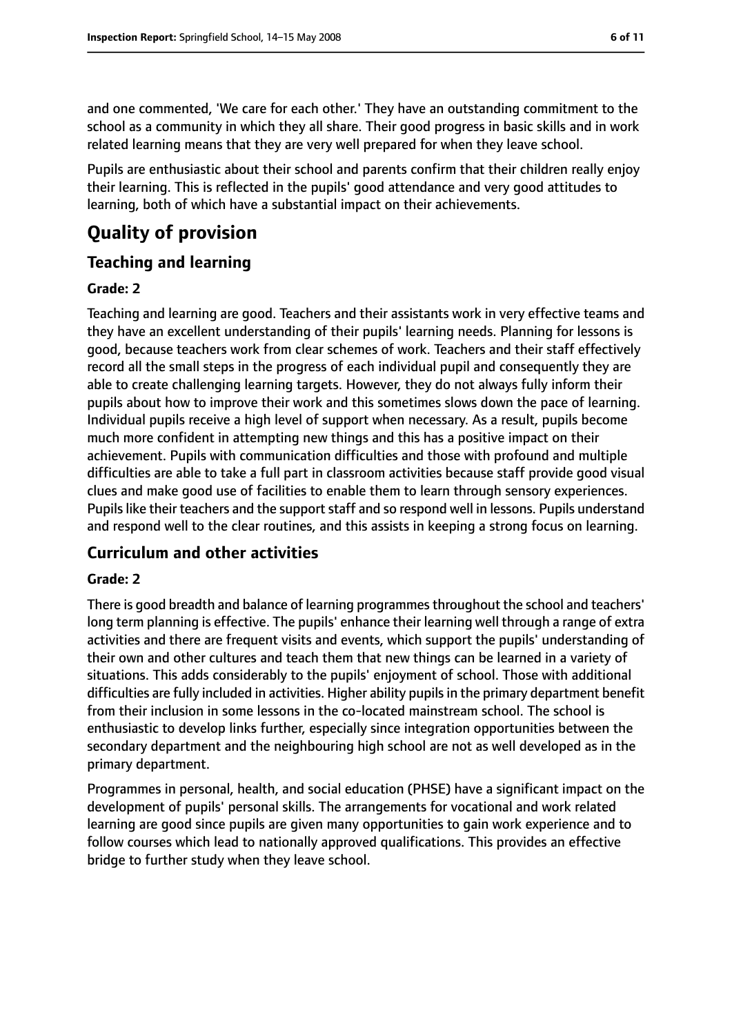and one commented, 'We care for each other.' They have an outstanding commitment to the school as a community in which they all share. Their good progress in basic skills and in work related learning means that they are very well prepared for when they leave school.

Pupils are enthusiastic about their school and parents confirm that their children really enjoy their learning. This is reflected in the pupils' good attendance and very good attitudes to learning, both of which have a substantial impact on their achievements.

## **Quality of provision**

#### **Teaching and learning**

#### **Grade: 2**

Teaching and learning are good. Teachers and their assistants work in very effective teams and they have an excellent understanding of their pupils' learning needs. Planning for lessons is good, because teachers work from clear schemes of work. Teachers and their staff effectively record all the small steps in the progress of each individual pupil and consequently they are able to create challenging learning targets. However, they do not always fully inform their pupils about how to improve their work and this sometimes slows down the pace of learning. Individual pupils receive a high level of support when necessary. As a result, pupils become much more confident in attempting new things and this has a positive impact on their achievement. Pupils with communication difficulties and those with profound and multiple difficulties are able to take a full part in classroom activities because staff provide good visual clues and make good use of facilities to enable them to learn through sensory experiences. Pupils like their teachers and the support staff and so respond well in lessons. Pupils understand and respond well to the clear routines, and this assists in keeping a strong focus on learning.

#### **Curriculum and other activities**

#### **Grade: 2**

There is good breadth and balance of learning programmes throughout the school and teachers' long term planning is effective. The pupils' enhance their learning well through a range of extra activities and there are frequent visits and events, which support the pupils' understanding of their own and other cultures and teach them that new things can be learned in a variety of situations. This adds considerably to the pupils' enjoyment of school. Those with additional difficulties are fully included in activities. Higher ability pupilsin the primary department benefit from their inclusion in some lessons in the co-located mainstream school. The school is enthusiastic to develop links further, especially since integration opportunities between the secondary department and the neighbouring high school are not as well developed as in the primary department.

Programmes in personal, health, and social education (PHSE) have a significant impact on the development of pupils' personal skills. The arrangements for vocational and work related learning are good since pupils are given many opportunities to gain work experience and to follow courses which lead to nationally approved qualifications. This provides an effective bridge to further study when they leave school.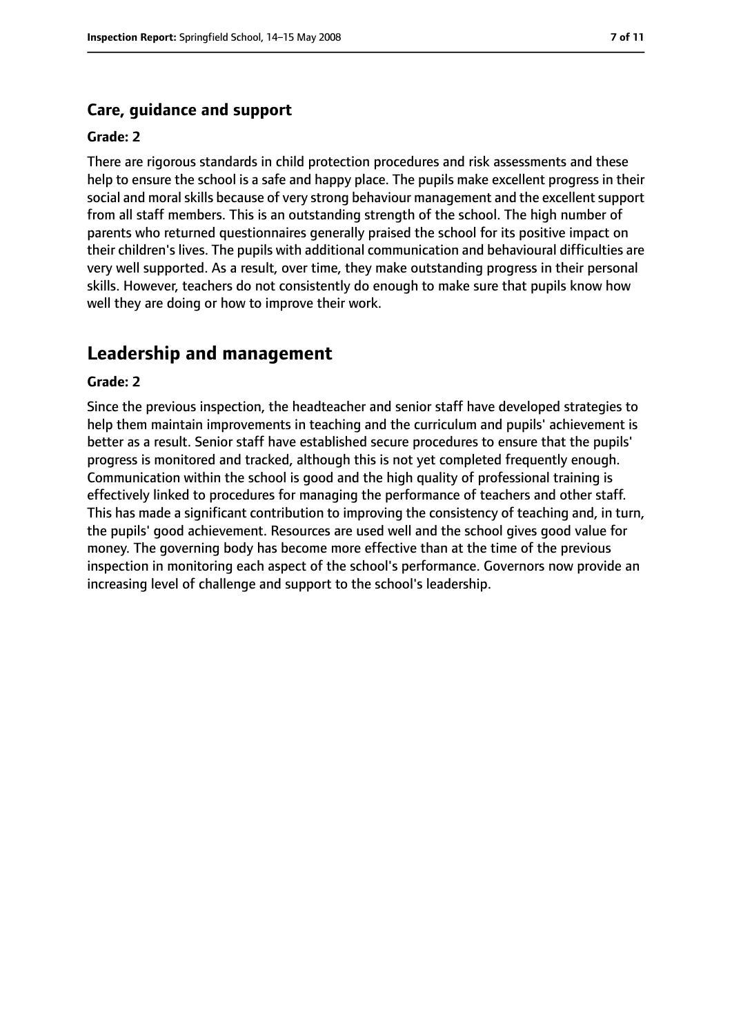#### **Care, guidance and support**

#### **Grade: 2**

There are rigorous standards in child protection procedures and risk assessments and these help to ensure the school is a safe and happy place. The pupils make excellent progress in their social and moral skills because of very strong behaviour management and the excellent support from all staff members. This is an outstanding strength of the school. The high number of parents who returned questionnaires generally praised the school for its positive impact on their children's lives. The pupils with additional communication and behavioural difficulties are very well supported. As a result, over time, they make outstanding progress in their personal skills. However, teachers do not consistently do enough to make sure that pupils know how well they are doing or how to improve their work.

## **Leadership and management**

#### **Grade: 2**

Since the previous inspection, the headteacher and senior staff have developed strategies to help them maintain improvements in teaching and the curriculum and pupils' achievement is better as a result. Senior staff have established secure procedures to ensure that the pupils' progress is monitored and tracked, although this is not yet completed frequently enough. Communication within the school is good and the high quality of professional training is effectively linked to procedures for managing the performance of teachers and other staff. This has made a significant contribution to improving the consistency of teaching and, in turn, the pupils' good achievement. Resources are used well and the school gives good value for money. The governing body has become more effective than at the time of the previous inspection in monitoring each aspect of the school's performance. Governors now provide an increasing level of challenge and support to the school's leadership.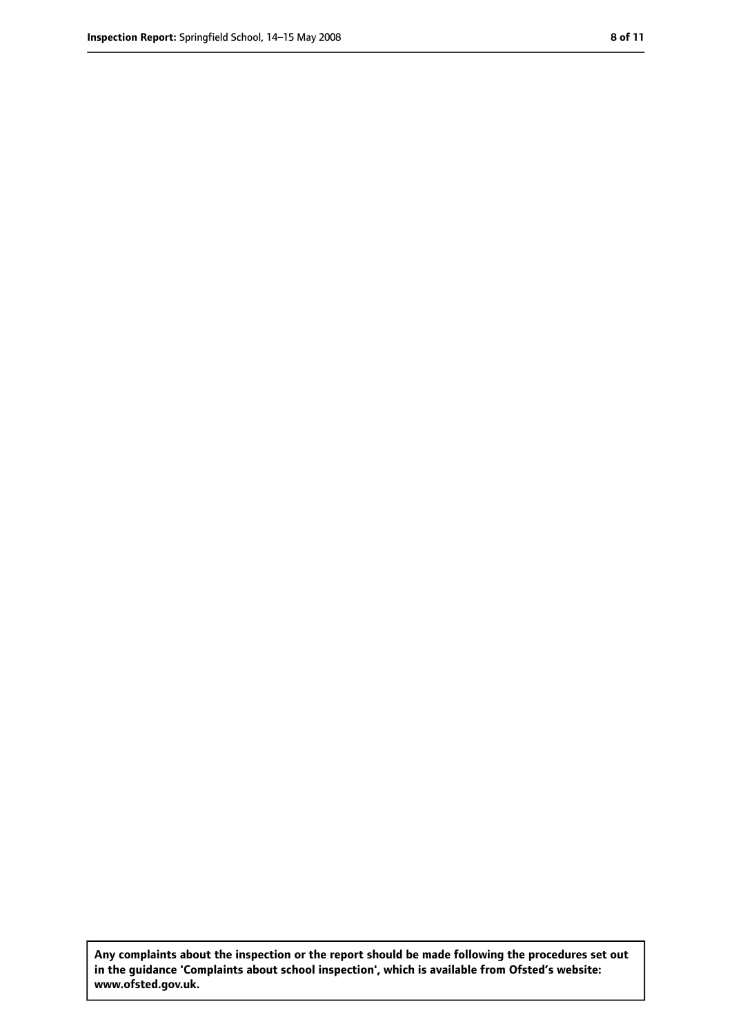**Any complaints about the inspection or the report should be made following the procedures set out in the guidance 'Complaints about school inspection', which is available from Ofsted's website: www.ofsted.gov.uk.**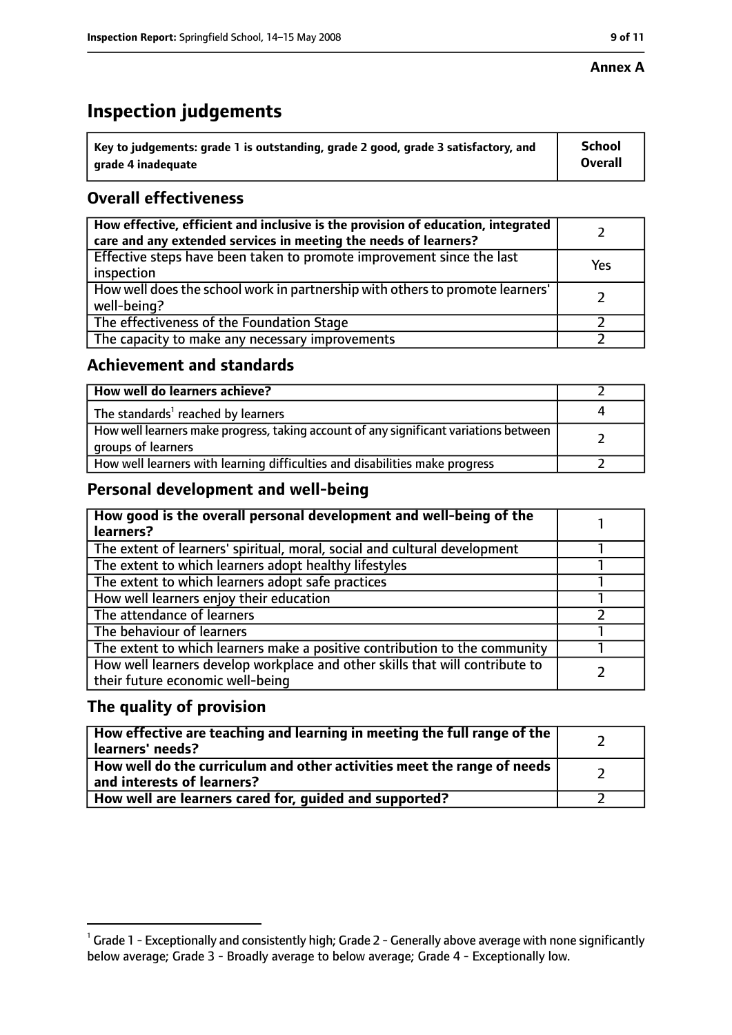#### **Annex A**

# **Inspection judgements**

| $^{\circ}$ Key to judgements: grade 1 is outstanding, grade 2 good, grade 3 satisfactory, and | <b>School</b>  |
|-----------------------------------------------------------------------------------------------|----------------|
| arade 4 inadequate                                                                            | <b>Overall</b> |

## **Overall effectiveness**

| How effective, efficient and inclusive is the provision of education, integrated<br>care and any extended services in meeting the needs of learners? |     |
|------------------------------------------------------------------------------------------------------------------------------------------------------|-----|
| Effective steps have been taken to promote improvement since the last<br>inspection                                                                  | Yes |
| How well does the school work in partnership with others to promote learners'<br>well-being?                                                         |     |
| The effectiveness of the Foundation Stage                                                                                                            |     |
| The capacity to make any necessary improvements                                                                                                      |     |

## **Achievement and standards**

| How well do learners achieve?                                                                               |  |
|-------------------------------------------------------------------------------------------------------------|--|
| The standards <sup>1</sup> reached by learners                                                              |  |
| How well learners make progress, taking account of any significant variations between<br>groups of learners |  |
| How well learners with learning difficulties and disabilities make progress                                 |  |

## **Personal development and well-being**

| How good is the overall personal development and well-being of the<br>learners?                                  |  |
|------------------------------------------------------------------------------------------------------------------|--|
| The extent of learners' spiritual, moral, social and cultural development                                        |  |
| The extent to which learners adopt healthy lifestyles                                                            |  |
| The extent to which learners adopt safe practices                                                                |  |
| How well learners enjoy their education                                                                          |  |
| The attendance of learners                                                                                       |  |
| The behaviour of learners                                                                                        |  |
| The extent to which learners make a positive contribution to the community                                       |  |
| How well learners develop workplace and other skills that will contribute to<br>their future economic well-being |  |

## **The quality of provision**

| How effective are teaching and learning in meeting the full range of the<br>learners' needs?          |  |
|-------------------------------------------------------------------------------------------------------|--|
| How well do the curriculum and other activities meet the range of needs<br>and interests of learners? |  |
| How well are learners cared for, quided and supported?                                                |  |

 $^1$  Grade 1 - Exceptionally and consistently high; Grade 2 - Generally above average with none significantly below average; Grade 3 - Broadly average to below average; Grade 4 - Exceptionally low.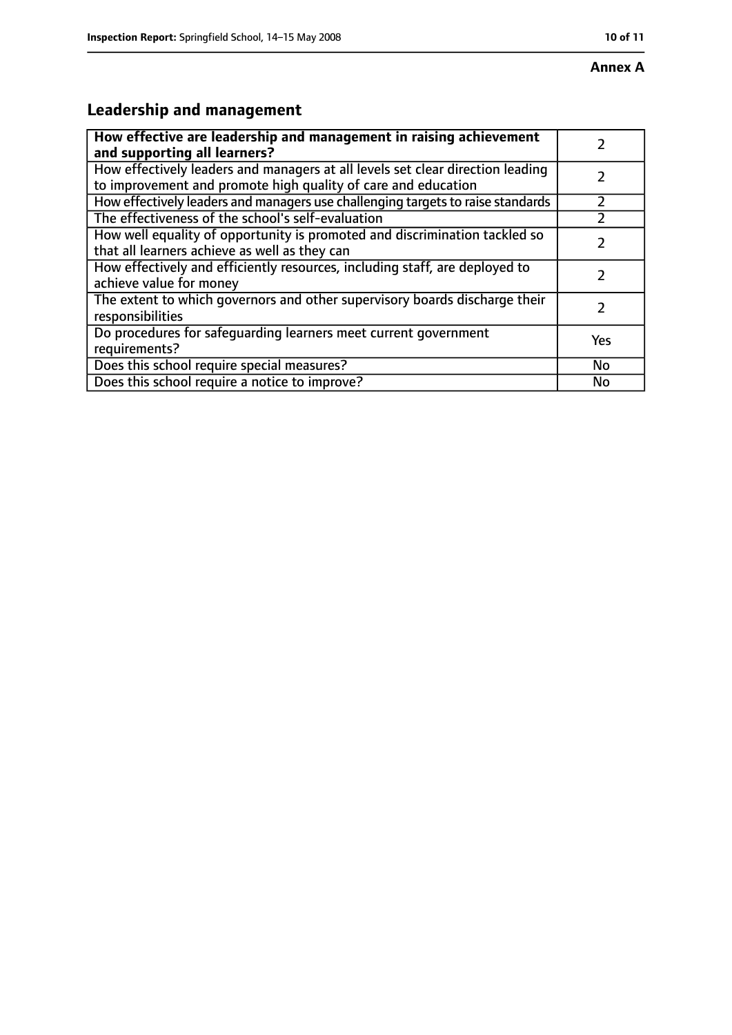# **Annex A**

# **Leadership and management**

| How effective are leadership and management in raising achievement<br>and supporting all learners?                                              |           |
|-------------------------------------------------------------------------------------------------------------------------------------------------|-----------|
| How effectively leaders and managers at all levels set clear direction leading<br>to improvement and promote high quality of care and education |           |
| How effectively leaders and managers use challenging targets to raise standards                                                                 |           |
| The effectiveness of the school's self-evaluation                                                                                               |           |
| How well equality of opportunity is promoted and discrimination tackled so<br>that all learners achieve as well as they can                     |           |
| How effectively and efficiently resources, including staff, are deployed to<br>achieve value for money                                          | 7         |
| The extent to which governors and other supervisory boards discharge their<br>responsibilities                                                  |           |
| Do procedures for safequarding learners meet current government<br>requirements?                                                                | Yes       |
| Does this school require special measures?                                                                                                      | <b>No</b> |
| Does this school require a notice to improve?                                                                                                   | No        |